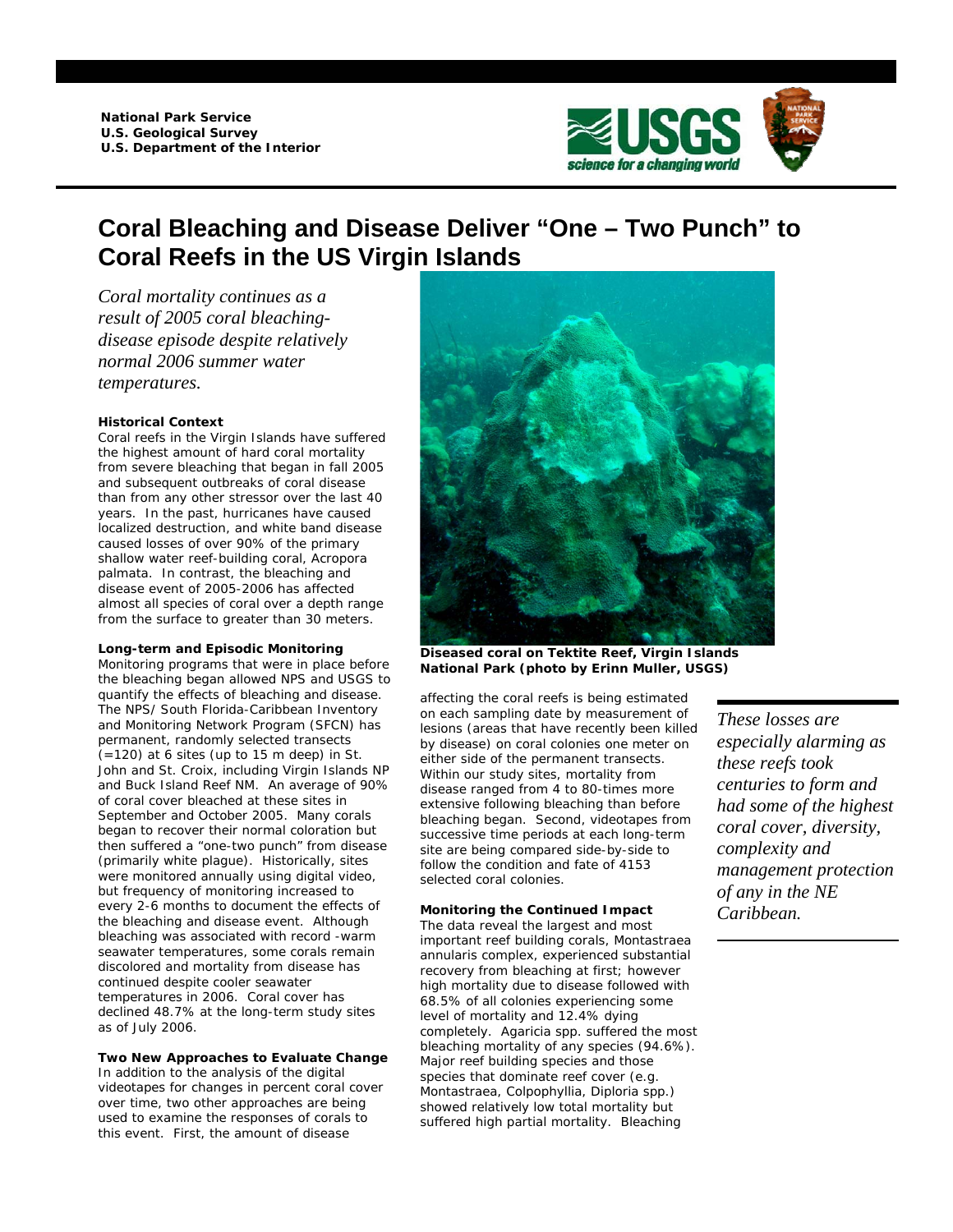

# **Coral Bleaching and Disease Deliver "One – Two Punch" to Coral Reefs in the US Virgin Islands**

*Coral mortality continues as a result of 2005 coral bleachingdisease episode despite relatively normal 2006 summer water temperatures.* 

# **Historical Context**

Coral reefs in the Virgin Islands have suffered the highest amount of hard coral mortality from severe bleaching that began in fall 2005 and subsequent outbreaks of coral disease than from any other stressor over the last 40 years. In the past, hurricanes have caused localized destruction, and white band disease caused losses of over 90% of the primary shallow water reef-building coral, *Acropora palmata*. In contrast, the bleaching and disease event of 2005-2006 has affected almost all species of coral over a depth range from the surface to greater than 30 meters.

# **Long-term and Episodic Monitoring**

Monitoring programs that were in place before the bleaching began allowed NPS and USGS to quantify the effects of bleaching and disease. The NPS/ South Florida-Caribbean Inventory and Monitoring Network Program (SFCN) has permanent, randomly selected transects  $(=120)$  at 6 sites (up to 15 m deep) in St. John and St. Croix, including Virgin Islands NP and Buck Island Reef NM. An average of 90% of coral cover bleached at these sites in September and October 2005. Many corals began to recover their normal coloration but then suffered a "one-two punch" from disease (primarily white plague). Historically, sites were monitored annually using digital video, but frequency of monitoring increased to every 2-6 months to document the effects of the bleaching and disease event. Although bleaching was associated with record -warm seawater temperatures, some corals remain discolored and mortality from disease has continued despite cooler seawater temperatures in 2006. Coral cover has declined 48.7% at the long-term study sites as of July 2006.

## **Two New Approaches to Evaluate Change**

In addition to the analysis of the digital videotapes for changes in percent coral cover over time, two other approaches are being used to examine the responses of corals to this event. First, the amount of disease



**Diseased coral on Tektite Reef, Virgin Islands National Park (photo by Erinn Muller, USGS)** 

affecting the coral reefs is being estimated on each sampling date by measurement of lesions (areas that have recently been killed by disease) on coral colonies one meter on either side of the permanent transects. Within our study sites, mortality from disease ranged from 4 to 80-times more extensive following bleaching than before bleaching began. Second, videotapes from successive time periods at each long-term site are being compared side-by-side to follow the condition and fate of 4153 selected coral colonies.

## **Monitoring the Continued Impact**

The data reveal the largest and most important reef building corals, *Montastraea annularis* complex, experienced substantial recovery from bleaching at first; however high mortality due to disease followed with 68.5% of all colonies experiencing some level of mortality and 12.4% dying completely. *Agaricia spp.* suffered the most bleaching mortality of any species (94.6%). Major reef building species and those species that dominate reef cover (e.g. *Montastraea*, *Colpophyllia*, *Diploria spp*.) showed relatively low total mortality but suffered high partial mortality. Bleaching

*These losses are especially alarming as these reefs took centuries to form and had some of the highest coral cover, diversity, complexity and management protection of any in the NE Caribbean.*